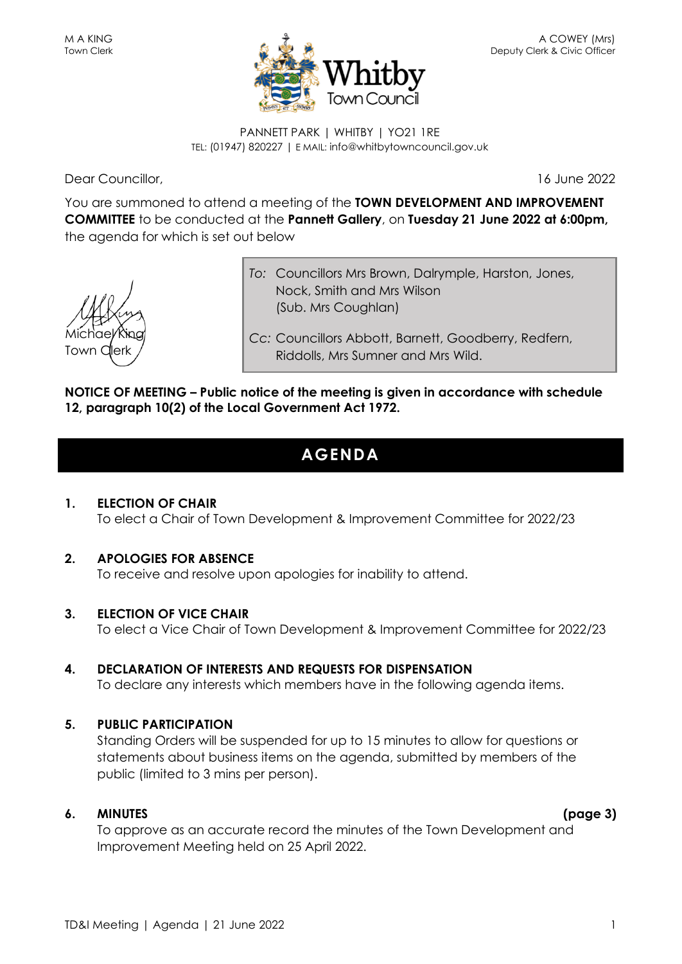

PANNETT PARK | WHITBY | YO21 1RE TEL: (01947) 820227 | E MAIL: info@whitbytowncouncil.gov.uk

Dear Councillor, 16 June 2022

You are summoned to attend a meeting of the **TOWN DEVELOPMENT AND IMPROVEMENT COMMITTEE** to be conducted at the **Pannett Gallery**, on **Tuesday 21 June 2022 at 6:00pm,** the agenda for which is set out below

Michae/King Town C

*To:* Councillors Mrs Brown, Dalrymple, Harston, Jones, Nock, Smith and Mrs Wilson (Sub. Mrs Coughlan)

*Cc:* Councillors Abbott, Barnett, Goodberry, Redfern, Riddolls, Mrs Sumner and Mrs Wild.

#### **NOTICE OF MEETING – Public notice of the meeting is given in accordance with schedule 12, paragraph 10(2) of the Local Government Act 1972.**

# **AGENDA**

**1. ELECTION OF CHAIR** To elect a Chair of Town Development & Improvement Committee for 2022/23

#### **2. APOLOGIES FOR ABSENCE**

To receive and resolve upon apologies for inability to attend.

#### **3. ELECTION OF VICE CHAIR**

To elect a Vice Chair of Town Development & Improvement Committee for 2022/23

#### **4. DECLARATION OF INTERESTS AND REQUESTS FOR DISPENSATION** To declare any interests which members have in the following agenda items.

# **5. PUBLIC PARTICIPATION**

Standing Orders will be suspended for up to 15 minutes to allow for questions or statements about business items on the agenda, submitted by members of the public (limited to 3 mins per person).

#### **6. MINUTES (page 3)**

To approve as an accurate record the minutes of the Town Development and Improvement Meeting held on 25 April 2022.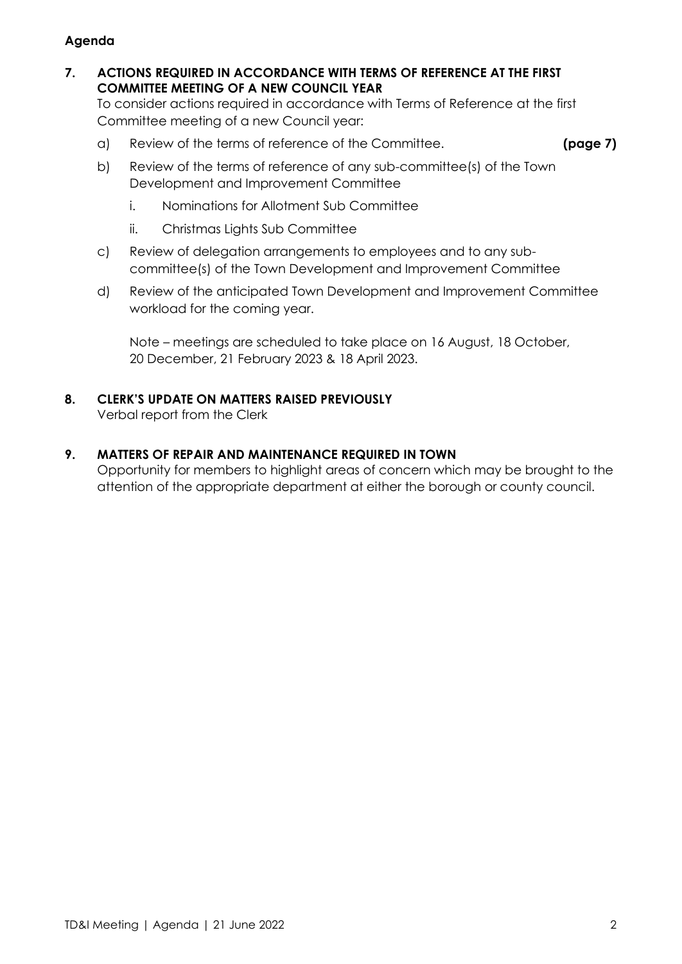#### **Agenda**

**7. ACTIONS REQUIRED IN ACCORDANCE WITH TERMS OF REFERENCE AT THE FIRST COMMITTEE MEETING OF A NEW COUNCIL YEAR**

To consider actions required in accordance with Terms of Reference at the first Committee meeting of a new Council year:

a) Review of the terms of reference of the Committee. **(page 7)**

- b) Review of the terms of reference of any sub-committee(s) of the Town Development and Improvement Committee
	- i. Nominations for Allotment Sub Committee
	- ii. Christmas Lights Sub Committee
- c) Review of delegation arrangements to employees and to any subcommittee(s) of the Town Development and Improvement Committee
- d) Review of the anticipated Town Development and Improvement Committee workload for the coming year.

Note – meetings are scheduled to take place on 16 August, 18 October, 20 December, 21 February 2023 & 18 April 2023.

#### **8. CLERK'S UPDATE ON MATTERS RAISED PREVIOUSLY**

Verbal report from the Clerk

#### **9. MATTERS OF REPAIR AND MAINTENANCE REQUIRED IN TOWN**

Opportunity for members to highlight areas of concern which may be brought to the attention of the appropriate department at either the borough or county council.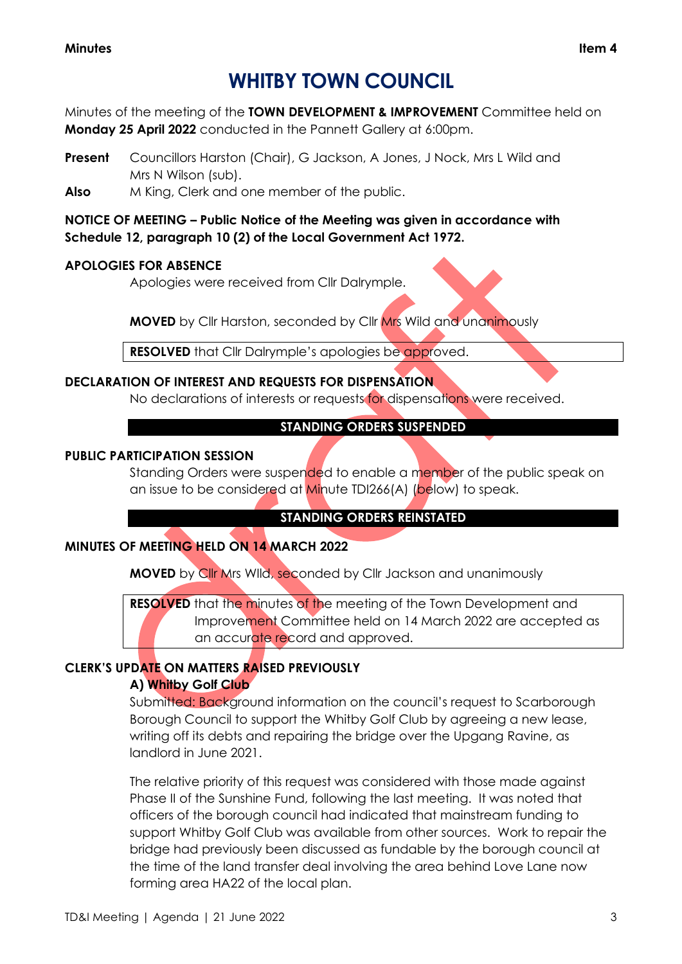#### **Minutes Item 4**

# **WHITBY TOWN COUNCIL**

Minutes of the meeting of the **TOWN DEVELOPMENT & IMPROVEMENT** Committee held on **Monday 25 April 2022** conducted in the Pannett Gallery at 6:00pm.

**Present** Councillors Harston (Chair), G Jackson, A Jones, J Nock, Mrs L Wild and Mrs N Wilson (sub).

**Also** M King, Clerk and one member of the public.

**NOTICE OF MEETING – Public Notice of the Meeting was given in accordance with Schedule 12, paragraph 10 (2) of the Local Government Act 1972.**

#### **APOLOGIES FOR ABSENCE**

Apologies were received from Cllr Dalrymple.

**MOVED** by Cllr Harston, seconded by Cllr Mrs Wild and unanimously

**RESOLVED** that Cllr Dalrymple's apologies be approved.

#### **DECLARATION OF INTEREST AND REQUESTS FOR DISPENSATION**

No declarations of interests or requests for dispensations were received.

#### **STANDING ORDERS SUSPENDED**

#### **PUBLIC PARTICIPATION SESSION**

Standing Orders were suspended to enable a member of the public speak on an issue to be considered at Minute TDI266(A) (below) to speak.

#### **STANDING ORDERS REINSTATED**

#### **MINUTES OF MEETING HELD ON 14 MARCH 2022**

**MOVED** by Cllr Mrs WIld, seconded by Cllr Jackson and unanimously

**RESOLVED** that the minutes of the meeting of the Town Development and Improvement Committee held on 14 March 2022 are accepted as an accurate record and approved.

#### **CLERK'S UPDATE ON MATTERS RAISED PREVIOUSLY A) Whitby Golf Club**

Submitted: Background information on the council's request to Scarborough Borough Council to support the Whitby Golf Club by agreeing a new lease, writing off its debts and repairing the bridge over the Upgang Ravine, as landlord in June 2021.

The relative priority of this request was considered with those made against Phase II of the Sunshine Fund, following the last meeting. It was noted that officers of the borough council had indicated that mainstream funding to support Whitby Golf Club was available from other sources. Work to repair the bridge had previously been discussed as fundable by the borough council at the time of the land transfer deal involving the area behind Love Lane now forming area HA22 of the local plan.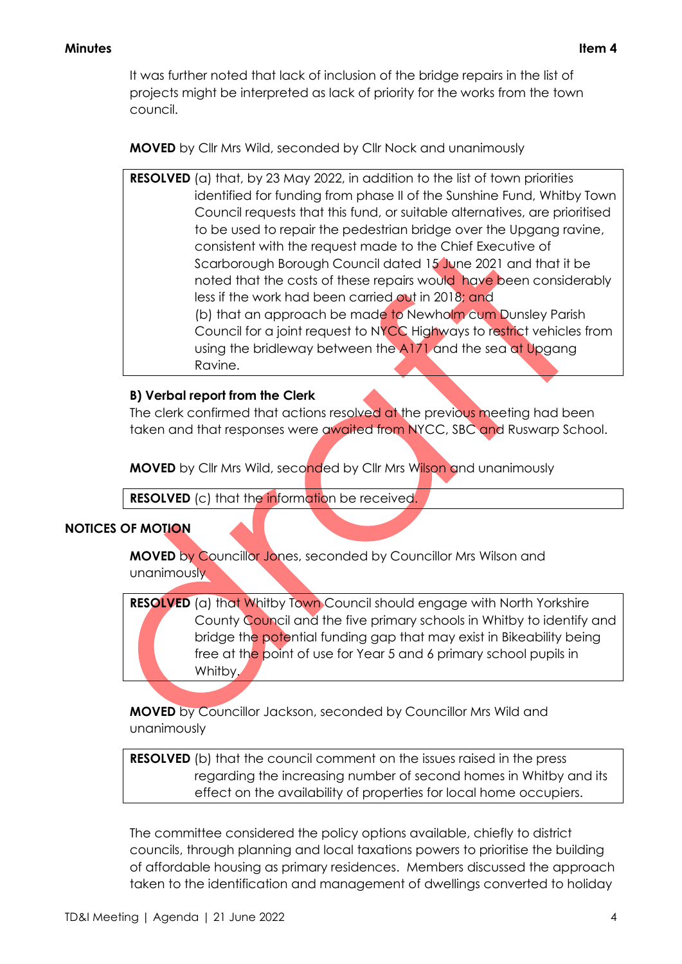It was further noted that lack of inclusion of the bridge repairs in the list of projects might be interpreted as lack of priority for the works from the town council.

**MOVED** by Cllr Mrs Wild, seconded by Cllr Nock and unanimously

**RESOLVED** (a) that, by 23 May 2022, in addition to the list of town priorities identified for funding from phase II of the Sunshine Fund, Whitby Town Council requests that this fund, or suitable alternatives, are prioritised to be used to repair the pedestrian bridge over the Upgang ravine, consistent with the request made to the Chief Executive of Scarborough Borough Council dated 15 June 2021 and that it be noted that the costs of these repairs would have been considerably less if the work had been carried out in 2018; and (b) that an approach be made to Newholm cum Dunsley Parish Council for a joint request to NYCC Highways to restrict vehicles from using the bridleway between the A171 and the sea at Upgang Ravine.

#### **B) Verbal report from the Clerk**

The clerk confirmed that actions resolved at the previous meeting had been taken and that responses were awaited from NYCC, SBC and Ruswarp School.

**MOVED** by Cllr Mrs Wild, seconded by Cllr Mrs Wilson and unanimously

**RESOLVED** (c) that the information be received.

#### **NOTICES OF MOTION**

**MOVED** by Councillor Jones, seconded by Councillor Mrs Wilson and unanimously

**RESOLVED** (a) that Whitby Town Council should engage with North Yorkshire County Council and the five primary schools in Whitby to identify and bridge the potential funding gap that may exist in Bikeability being free at the point of use for Year 5 and 6 primary school pupils in Whitby.

**MOVED** by Councillor Jackson, seconded by Councillor Mrs Wild and unanimously

**RESOLVED** (b) that the council comment on the issues raised in the press regarding the increasing number of second homes in Whitby and its effect on the availability of properties for local home occupiers.

The committee considered the policy options available, chiefly to district councils, through planning and local taxations powers to prioritise the building of affordable housing as primary residences. Members discussed the approach taken to the identification and management of dwellings converted to holiday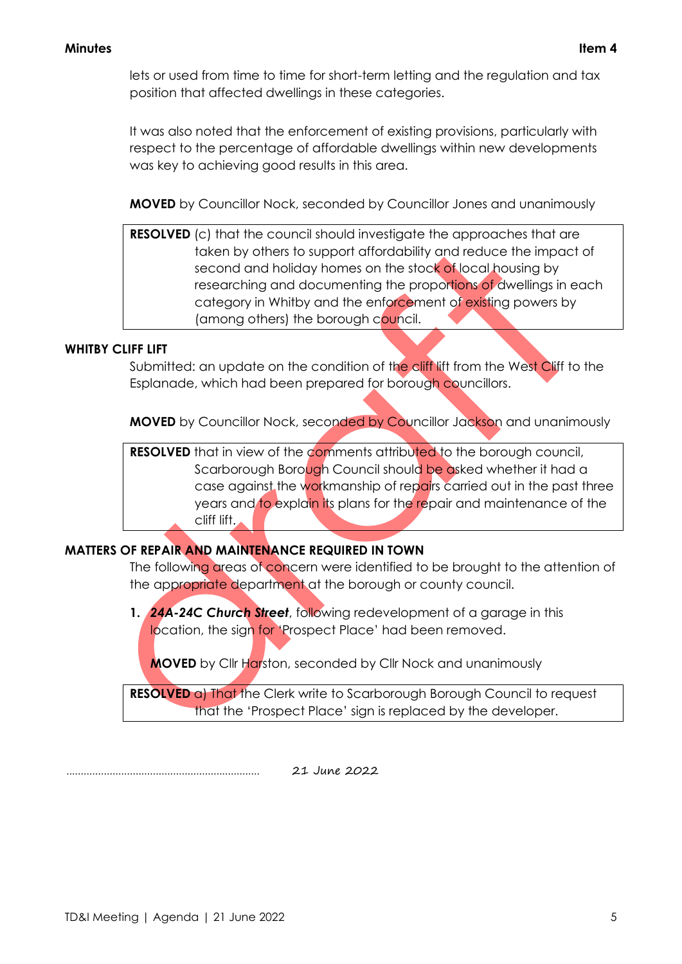lets or used from time to time for short-term letting and the regulation and tax position that affected dwellings in these categories.

It was also noted that the enforcement of existing provisions, particularly with respect to the percentage of affordable dwellings within new developments was key to achieving good results in this area.

**MOVED** by Councillor Nock, seconded by Councillor Jones and unanimously

**RESOLVED** (c) that the council should investigate the approaches that are taken by others to support affordability and reduce the impact of second and holiday homes on the stock of local housing by researching and documenting the proportions of dwellings in each category in Whitby and the enforcement of existing powers by (among others) the borough council.

#### **WHITBY CLIFF LIFT**

Submitted: an update on the condition of the cliff lift from the West Cliff to the Esplanade, which had been prepared for borough councillors.

**MOVED** by Councillor Nock, seconded by Councillor Jackson and unanimously

**RESOLVED** that in view of the comments attributed to the borough council, Scarborough Borough Council should be asked whether it had a case against the workmanship of repairs carried out in the past three years and to explain its plans for the repair and maintenance of the cliff lift.

#### **MATTERS OF REPAIR AND MAINTENANCE REQUIRED IN TOWN**

The following areas of concern were identified to be brought to the attention of the appropriate department at the borough or county council.

**1.** *24A-24C Church Street*, following redevelopment of a garage in this location, the sign for 'Prospect Place' had been removed.

**MOVED** by Cllr Harston, seconded by Cllr Nock and unanimously

**RESOLVED** a) That the Clerk write to Scarborough Borough Council to request that the 'Prospect Place' sign is replaced by the developer.

................................................................... 21 June 2022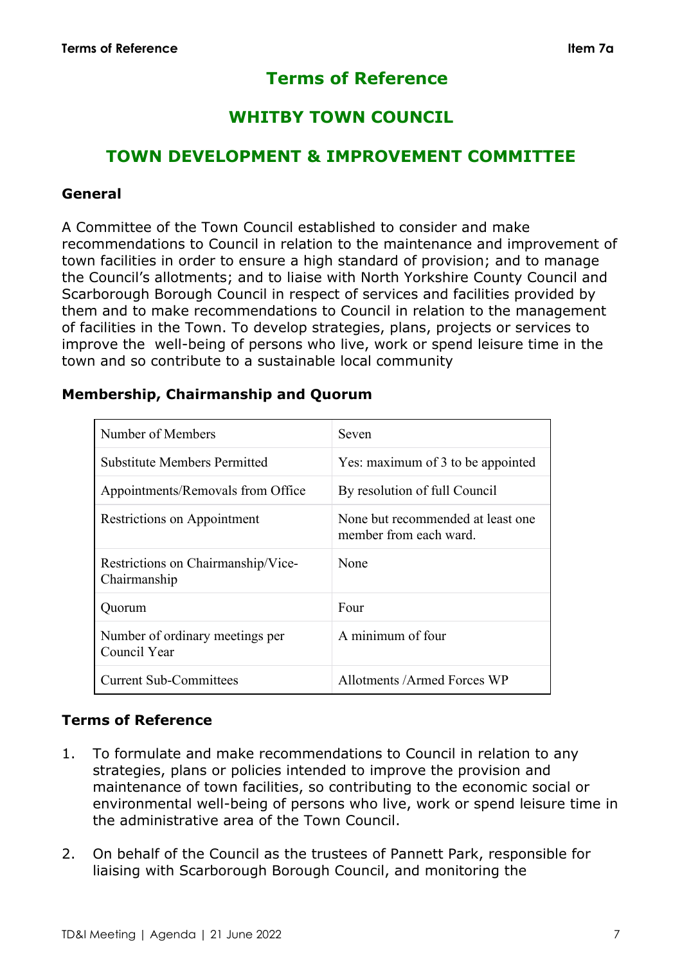# **Terms of Reference**

# **WHITBY TOWN COUNCIL**

# **TOWN DEVELOPMENT & IMPROVEMENT COMMITTEE**

#### **General**

A Committee of the Town Council established to consider and make recommendations to Council in relation to the maintenance and improvement of town facilities in order to ensure a high standard of provision; and to manage the Council's allotments; and to liaise with North Yorkshire County Council and Scarborough Borough Council in respect of services and facilities provided by them and to make recommendations to Council in relation to the management of facilities in the Town. To develop strategies, plans, projects or services to improve the well-being of persons who live, work or spend leisure time in the town and so contribute to a sustainable local community

### **Membership, Chairmanship and Quorum**

| Number of Members                                  | Seven                                                       |
|----------------------------------------------------|-------------------------------------------------------------|
| <b>Substitute Members Permitted</b>                | Yes: maximum of 3 to be appointed                           |
| Appointments/Removals from Office                  | By resolution of full Council                               |
| Restrictions on Appointment                        | None but recommended at least one<br>member from each ward. |
| Restrictions on Chairmanship/Vice-<br>Chairmanship | None                                                        |
| Quorum                                             | Four                                                        |
| Number of ordinary meetings per<br>Council Year    | A minimum of four                                           |
| <b>Current Sub-Committees</b>                      | Allotments / Armed Forces WP                                |

## **Terms of Reference**

- 1. To formulate and make recommendations to Council in relation to any strategies, plans or policies intended to improve the provision and maintenance of town facilities, so contributing to the economic social or environmental well-being of persons who live, work or spend leisure time in the administrative area of the Town Council.
- 2. On behalf of the Council as the trustees of Pannett Park, responsible for liaising with Scarborough Borough Council, and monitoring the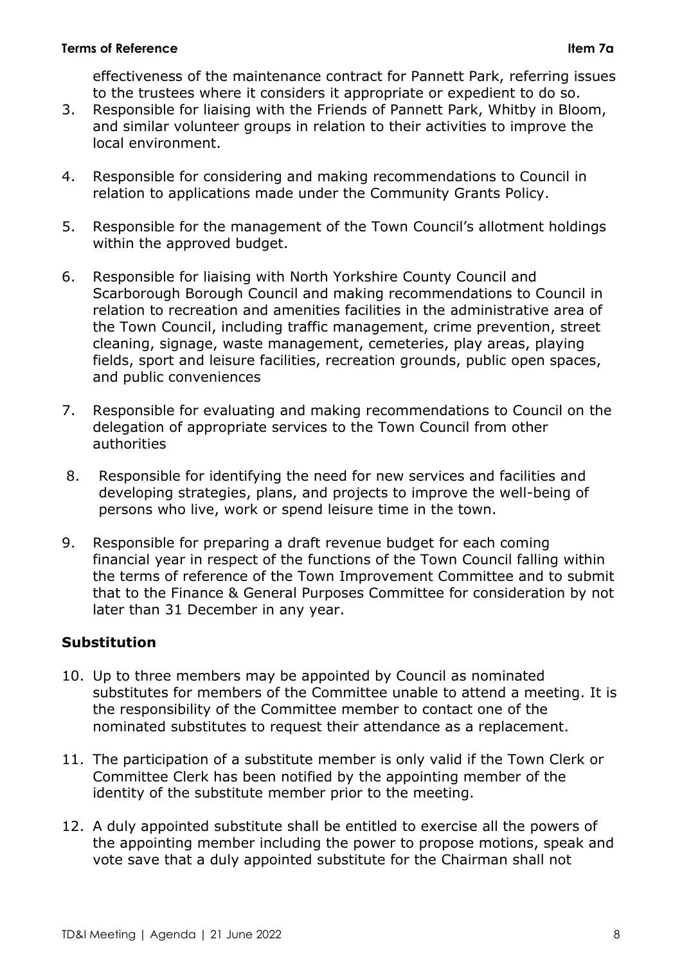#### **Terms of Reference Item 7a**

effectiveness of the maintenance contract for Pannett Park, referring issues to the trustees where it considers it appropriate or expedient to do so.

- 3. Responsible for liaising with the Friends of Pannett Park, Whitby in Bloom, and similar volunteer groups in relation to their activities to improve the local environment.
- 4. Responsible for considering and making recommendations to Council in relation to applications made under the Community Grants Policy.
- 5. Responsible for the management of the Town Council's allotment holdings within the approved budget.
- 6. Responsible for liaising with North Yorkshire County Council and Scarborough Borough Council and making recommendations to Council in relation to recreation and amenities facilities in the administrative area of the Town Council, including traffic management, crime prevention, street cleaning, signage, waste management, cemeteries, play areas, playing fields, sport and leisure facilities, recreation grounds, public open spaces, and public conveniences
- 7. Responsible for evaluating and making recommendations to Council on the delegation of appropriate services to the Town Council from other authorities
- 8. Responsible for identifying the need for new services and facilities and developing strategies, plans, and projects to improve the well-being of persons who live, work or spend leisure time in the town.
- 9. Responsible for preparing a draft revenue budget for each coming financial year in respect of the functions of the Town Council falling within the terms of reference of the Town Improvement Committee and to submit that to the Finance & General Purposes Committee for consideration by not later than 31 December in any year.

## **Substitution**

- 10. Up to three members may be appointed by Council as nominated substitutes for members of the Committee unable to attend a meeting. It is the responsibility of the Committee member to contact one of the nominated substitutes to request their attendance as a replacement.
- 11. The participation of a substitute member is only valid if the Town Clerk or Committee Clerk has been notified by the appointing member of the identity of the substitute member prior to the meeting.
- 12. A duly appointed substitute shall be entitled to exercise all the powers of the appointing member including the power to propose motions, speak and vote save that a duly appointed substitute for the Chairman shall not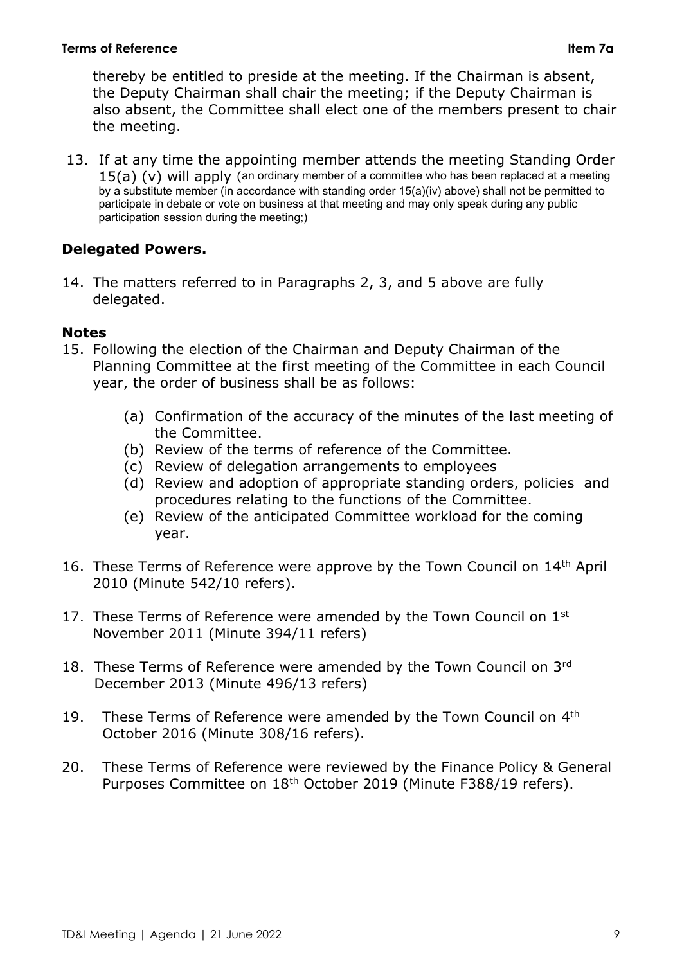#### **Terms of Reference Item 7a**

thereby be entitled to preside at the meeting. If the Chairman is absent, the Deputy Chairman shall chair the meeting; if the Deputy Chairman is also absent, the Committee shall elect one of the members present to chair the meeting.

13. If at any time the appointing member attends the meeting Standing Order 15(a) (v) will apply (an ordinary member of a committee who has been replaced at a meeting by a substitute member (in accordance with standing order 15(a)(iv) above) shall not be permitted to participate in debate or vote on business at that meeting and may only speak during any public participation session during the meeting;)

## **Delegated Powers.**

14. The matters referred to in Paragraphs 2, 3, and 5 above are fully delegated.

### **Notes**

- 15. Following the election of the Chairman and Deputy Chairman of the Planning Committee at the first meeting of the Committee in each Council year, the order of business shall be as follows:
	- (a) Confirmation of the accuracy of the minutes of the last meeting of the Committee.
	- (b) Review of the terms of reference of the Committee.
	- (c) Review of delegation arrangements to employees
	- (d) Review and adoption of appropriate standing orders, policies and procedures relating to the functions of the Committee.
	- (e) Review of the anticipated Committee workload for the coming year.
- 16. These Terms of Reference were approve by the Town Council on 14<sup>th</sup> April 2010 (Minute 542/10 refers).
- 17. These Terms of Reference were amended by the Town Council on 1st November 2011 (Minute 394/11 refers)
- 18. These Terms of Reference were amended by the Town Council on 3rd December 2013 (Minute 496/13 refers)
- 19. These Terms of Reference were amended by the Town Council on 4<sup>th</sup> October 2016 (Minute 308/16 refers).
- 20. These Terms of Reference were reviewed by the Finance Policy & General Purposes Committee on 18th October 2019 (Minute F388/19 refers).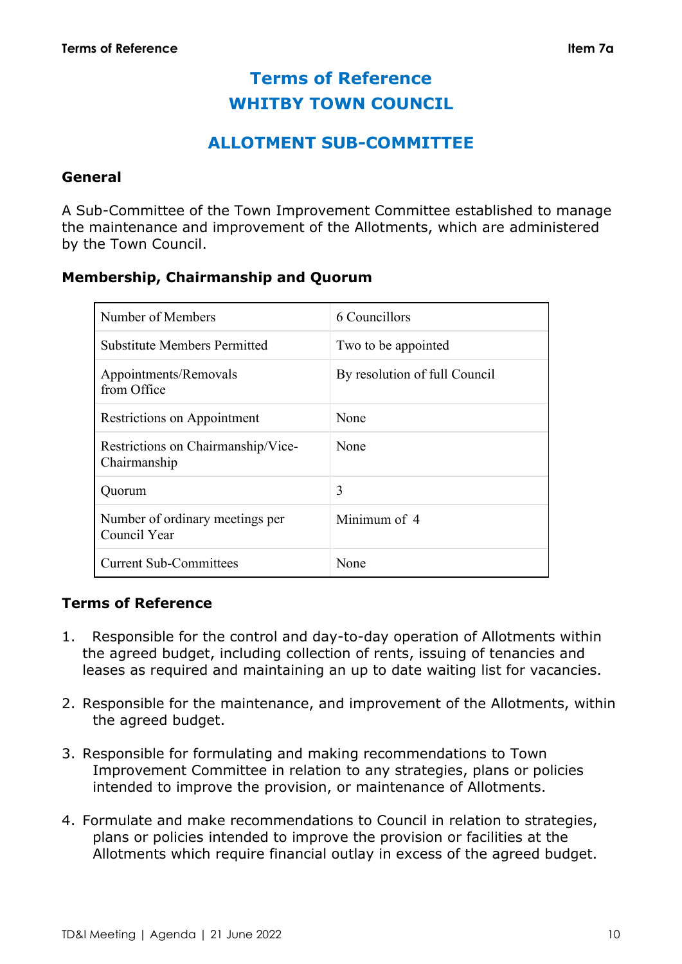# **Terms of Reference WHITBY TOWN COUNCIL**

# **ALLOTMENT SUB-COMMITTEE**

#### **General**

A Sub-Committee of the Town Improvement Committee established to manage the maintenance and improvement of the Allotments, which are administered by the Town Council.

### **Membership, Chairmanship and Quorum**

| Number of Members                                  | 6 Councillors                 |
|----------------------------------------------------|-------------------------------|
| <b>Substitute Members Permitted</b>                | Two to be appointed           |
| Appointments/Removals<br>from Office               | By resolution of full Council |
| Restrictions on Appointment                        | None                          |
| Restrictions on Chairmanship/Vice-<br>Chairmanship | None                          |
| Quorum                                             | 3                             |
| Number of ordinary meetings per<br>Council Year    | Minimum of 4                  |
| <b>Current Sub-Committees</b>                      | None                          |

## **Terms of Reference**

- 1. Responsible for the control and day-to-day operation of Allotments within the agreed budget, including collection of rents, issuing of tenancies and leases as required and maintaining an up to date waiting list for vacancies.
- 2. Responsible for the maintenance, and improvement of the Allotments, within the agreed budget.
- 3. Responsible for formulating and making recommendations to Town Improvement Committee in relation to any strategies, plans or policies intended to improve the provision, or maintenance of Allotments.
- 4. Formulate and make recommendations to Council in relation to strategies, plans or policies intended to improve the provision or facilities at the Allotments which require financial outlay in excess of the agreed budget.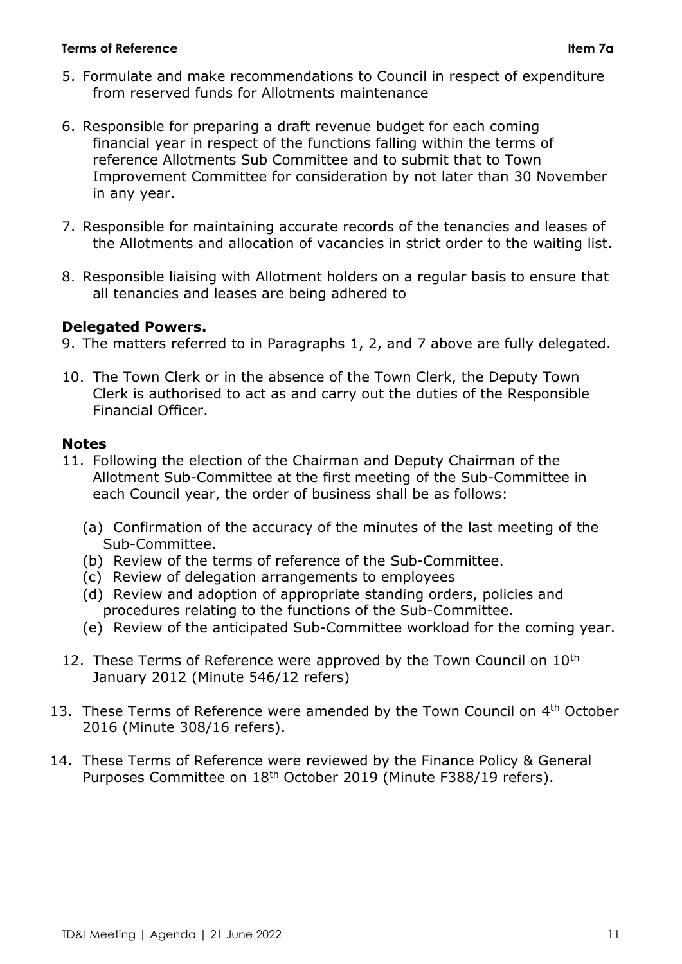#### **Terms of Reference Item 7a**

- 5. Formulate and make recommendations to Council in respect of expenditure from reserved funds for Allotments maintenance
- 6. Responsible for preparing a draft revenue budget for each coming financial year in respect of the functions falling within the terms of reference Allotments Sub Committee and to submit that to Town Improvement Committee for consideration by not later than 30 November in any year.
- 7. Responsible for maintaining accurate records of the tenancies and leases of the Allotments and allocation of vacancies in strict order to the waiting list.
- 8. Responsible liaising with Allotment holders on a regular basis to ensure that all tenancies and leases are being adhered to

## **Delegated Powers.**

- 9. The matters referred to in Paragraphs 1, 2, and 7 above are fully delegated.
- 10. The Town Clerk or in the absence of the Town Clerk, the Deputy Town Clerk is authorised to act as and carry out the duties of the Responsible Financial Officer.

## **Notes**

- 11. Following the election of the Chairman and Deputy Chairman of the Allotment Sub-Committee at the first meeting of the Sub-Committee in each Council year, the order of business shall be as follows:
	- (a) Confirmation of the accuracy of the minutes of the last meeting of the Sub-Committee.
	- (b) Review of the terms of reference of the Sub-Committee.
	- (c) Review of delegation arrangements to employees
	- (d) Review and adoption of appropriate standing orders, policies and procedures relating to the functions of the Sub-Committee.
	- (e) Review of the anticipated Sub-Committee workload for the coming year.
- 12. These Terms of Reference were approved by the Town Council on 10<sup>th</sup> January 2012 (Minute 546/12 refers)
- 13. These Terms of Reference were amended by the Town Council on 4<sup>th</sup> October 2016 (Minute 308/16 refers).
- 14. These Terms of Reference were reviewed by the Finance Policy & General Purposes Committee on 18th October 2019 (Minute F388/19 refers).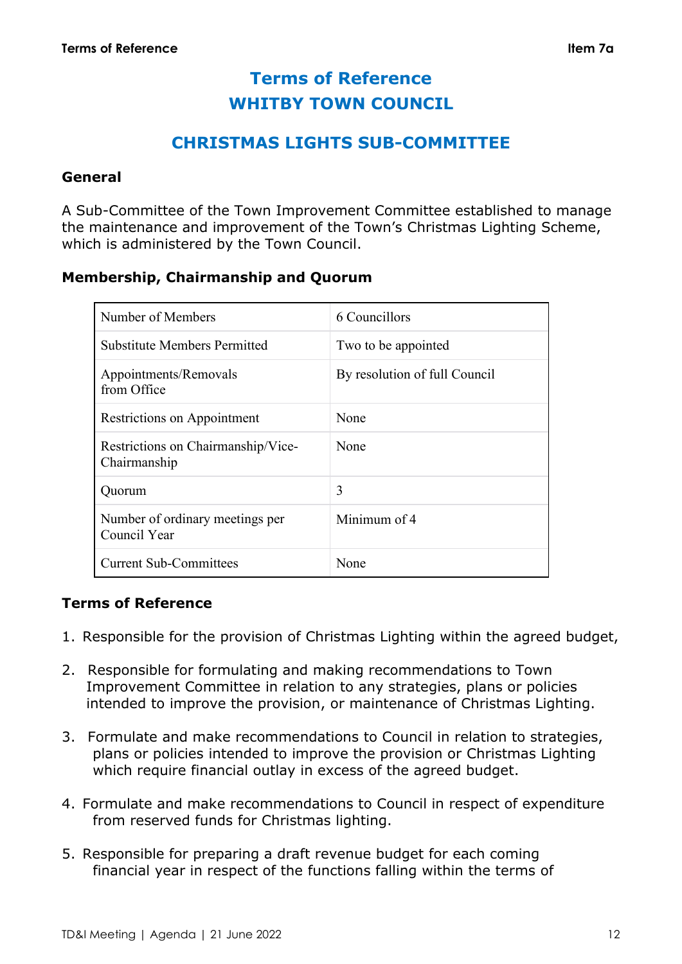# **Terms of Reference WHITBY TOWN COUNCIL**

# **CHRISTMAS LIGHTS SUB-COMMITTEE**

#### **General**

A Sub-Committee of the Town Improvement Committee established to manage the maintenance and improvement of the Town's Christmas Lighting Scheme, which is administered by the Town Council.

#### **Membership, Chairmanship and Quorum**

| Number of Members                                  | 6 Councillors                 |
|----------------------------------------------------|-------------------------------|
| <b>Substitute Members Permitted</b>                | Two to be appointed           |
| Appointments/Removals<br>from Office               | By resolution of full Council |
| <b>Restrictions on Appointment</b>                 | None                          |
| Restrictions on Chairmanship/Vice-<br>Chairmanship | None                          |
| Quorum                                             | 3                             |
| Number of ordinary meetings per<br>Council Year    | Minimum of 4                  |
| <b>Current Sub-Committees</b>                      | None                          |

#### **Terms of Reference**

- 1. Responsible for the provision of Christmas Lighting within the agreed budget,
- 2. Responsible for formulating and making recommendations to Town Improvement Committee in relation to any strategies, plans or policies intended to improve the provision, or maintenance of Christmas Lighting.
- 3. Formulate and make recommendations to Council in relation to strategies, plans or policies intended to improve the provision or Christmas Lighting which require financial outlay in excess of the agreed budget.
- 4. Formulate and make recommendations to Council in respect of expenditure from reserved funds for Christmas lighting.
- 5. Responsible for preparing a draft revenue budget for each coming financial year in respect of the functions falling within the terms of